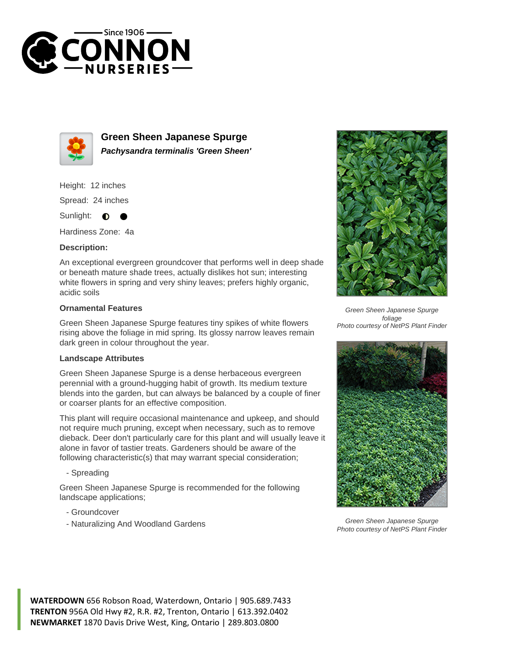



**Green Sheen Japanese Spurge Pachysandra terminalis 'Green Sheen'**

Height: 12 inches

Spread: 24 inches

Sunlight:  $\bullet$ 

Hardiness Zone: 4a

## **Description:**

An exceptional evergreen groundcover that performs well in deep shade or beneath mature shade trees, actually dislikes hot sun; interesting white flowers in spring and very shiny leaves; prefers highly organic, acidic soils

## **Ornamental Features**

Green Sheen Japanese Spurge features tiny spikes of white flowers rising above the foliage in mid spring. Its glossy narrow leaves remain dark green in colour throughout the year.

## **Landscape Attributes**

Green Sheen Japanese Spurge is a dense herbaceous evergreen perennial with a ground-hugging habit of growth. Its medium texture blends into the garden, but can always be balanced by a couple of finer or coarser plants for an effective composition.

This plant will require occasional maintenance and upkeep, and should not require much pruning, except when necessary, such as to remove dieback. Deer don't particularly care for this plant and will usually leave it alone in favor of tastier treats. Gardeners should be aware of the following characteristic(s) that may warrant special consideration;

- Spreading

Green Sheen Japanese Spurge is recommended for the following landscape applications;

- Groundcover
- Naturalizing And Woodland Gardens



Green Sheen Japanese Spurge foliage Photo courtesy of NetPS Plant Finder



Green Sheen Japanese Spurge Photo courtesy of NetPS Plant Finder

**WATERDOWN** 656 Robson Road, Waterdown, Ontario | 905.689.7433 **TRENTON** 956A Old Hwy #2, R.R. #2, Trenton, Ontario | 613.392.0402 **NEWMARKET** 1870 Davis Drive West, King, Ontario | 289.803.0800